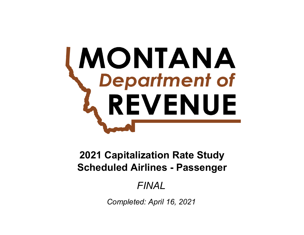# **MONTANA**<br>Chepartment of REVENUE

# **Scheduled Airlines - Passenger 2021 Capitalization Rate Study**

# *FINAL*

*Completed: April 16, 2021*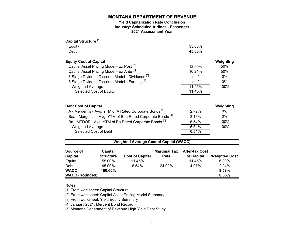# **2021 Assessment Year Industry: Scheduled Airlines - Passenger Yield Capitalization Rate Conclusion**

| Capital Structure <sup>[1]</sup> |                                                           |                                                                        |                            |                                     |                     |
|----------------------------------|-----------------------------------------------------------|------------------------------------------------------------------------|----------------------------|-------------------------------------|---------------------|
| Equity                           |                                                           |                                                                        |                            | 55.00%                              |                     |
| Debt                             |                                                           |                                                                        |                            | 45.00%                              |                     |
| <b>Equity Cost of Capital</b>    |                                                           |                                                                        |                            |                                     | Weighting           |
|                                  | Capital Asset Pricing Model - Ex Post <sup>[2]</sup>      |                                                                        |                            | 12.69%                              | 50%                 |
|                                  | Capital Asset Pricing Model - Ex Ante <sup>[2]</sup>      |                                                                        |                            | 10.21%                              | 50%                 |
|                                  |                                                           | 3 Stage Dividend Discount Model - Dividends <sup>[3]</sup>             |                            | nmf                                 | 0%                  |
|                                  | 3 Stage Dividend Discount Model - Earnings <sup>[3]</sup> |                                                                        |                            | nmf                                 | $0\%$               |
| <b>Weighted Average</b>          |                                                           |                                                                        |                            | 11.45%                              | 100%                |
|                                  | Selected Cost of Equity                                   |                                                                        |                            | 11.45%                              |                     |
| <b>Debt Cost of Capital</b>      |                                                           |                                                                        |                            |                                     | Weighting           |
|                                  |                                                           | A - Mergent's - Avg. YTM of A Rated Corporate Bonds <sup>[4]</sup>     |                            | 2.72%                               | $0\%$               |
|                                  |                                                           | Baa - Mergent's - Avg. YTM of Baa Rated Corporate Bonds <sup>[4]</sup> |                            | 3.16%                               | $0\%$               |
|                                  |                                                           | Ba - MTDOR - Avg. YTM of Ba Rated Corporate Bonds <sup>[5]</sup>       |                            | 6.54%                               | 100%                |
| <b>Weighted Average</b>          |                                                           |                                                                        |                            | 6.54%                               | 100%                |
|                                  | Selected Cost of Debt                                     |                                                                        |                            | 6.54%                               |                     |
|                                  |                                                           | <b>Weighted Average Cost of Capital (WACC)</b>                         |                            |                                     |                     |
| Source of<br>Canital             | Capital<br><b>Ctructure</b>                               | Cost of Conital                                                        | <b>Marginal Tax</b><br>Phi | <b>After-tax Cost</b><br>of Conital | <i>Mainhtod Coc</i> |

| Capital               | <b>Structure</b> | <b>Cost of Capital</b> | Rate   | of Capital | <b>Weighted Cost</b> |
|-----------------------|------------------|------------------------|--------|------------|----------------------|
| Equity                | 55.00%           | 11.45%                 |        | 11.45%     | 6.30%                |
| Debt                  | 45.00%           | 6.54%                  | 24.00% | 4.97%      | 2.24%                |
| <b>WACC</b>           | 100.00%          |                        |        |            | 8.53%                |
| <b>WACC (Rounded)</b> |                  |                        |        |            | 8.55%                |
|                       |                  |                        |        |            |                      |

# <u>Notes</u>

[1] From worksheet: Capital Structure

[2] From worksheet: Capital Asset Pricing Model Summary

[3] From worksheet: Yield Equity Summary

[4] January 2021, Mergent Bond Record

[5] Montana Department of Revenue High Yield Debt Study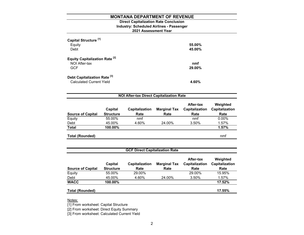# **2021 Assessment Year Industry: Scheduled Airlines - Passenger Direct Capitalization Rate Conclusion**

| Capital Structure <sup>[1]</sup><br>Equity<br>Debt                         | 55.00%<br>45.00% |
|----------------------------------------------------------------------------|------------------|
| <b>Equity Capitalization Rate [2]</b><br>NOI After-tax<br><b>GCF</b>       | nmf<br>29.00%    |
| Debt Capitalization Rate <sup>[3]</sup><br><b>Calculated Current Yield</b> | 4.60%            |

| <b>NOI After-tax Direct Capitalization Rate</b> |                             |                        |                             |                                     |                                    |  |
|-------------------------------------------------|-----------------------------|------------------------|-----------------------------|-------------------------------------|------------------------------------|--|
| <b>Source of Capital</b>                        | Capital<br><b>Structure</b> | Capitalization<br>Rate | <b>Marginal Tax</b><br>Rate | After-tax<br>Capitalization<br>Rate | Weighted<br>Capitalization<br>Rate |  |
| Equity                                          | 55.00%                      | nmf                    |                             | nmf                                 | $0.00\%$                           |  |
| Debt                                            | 45.00%                      | 4.60%                  | 24.00%                      | 3.50%                               | 1.57%                              |  |
| <b>Total</b>                                    | 100.00%                     |                        |                             |                                     | 1.57%                              |  |
| <b>Total (Rounded)</b>                          |                             |                        |                             |                                     | nmf                                |  |

| <b>GCF Direct Capitalization Rate</b> |                             |                               |                             |                                     |                                    |  |  |
|---------------------------------------|-----------------------------|-------------------------------|-----------------------------|-------------------------------------|------------------------------------|--|--|
| <b>Source of Capital</b>              | Capital<br><b>Structure</b> | <b>Capitalization</b><br>Rate | <b>Marginal Tax</b><br>Rate | After-tax<br>Capitalization<br>Rate | Weighted<br>Capitalization<br>Rate |  |  |
| Equity                                | 55.00%                      | 29.00%                        |                             | 29.00%                              | 15.95%                             |  |  |
| Debt                                  | 45.00%                      | 4.60%                         | 24.00%                      | 3.50%                               | 1.57%                              |  |  |
| <b>WACC</b>                           | 100.00%                     |                               |                             |                                     | 17.52%                             |  |  |
| <b>Total (Rounded)</b>                |                             |                               |                             |                                     | 17.55%                             |  |  |

Notes:

[1] From worksheet: Capital Structure

[2] From worksheet: Direct Equity Summary

[3] From worksheet: Calculated Current Yield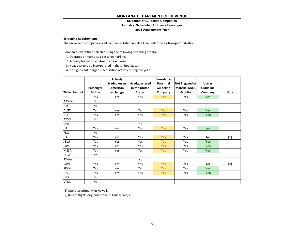**Selection of Guideline Companies**

### **Industry: Scheduled Airlines - Passenger**

### **2021 Assessment Year**

# **Screening Requirements:**

The universe of companies is all companies listed in Value Line under the air transport industry.

Companies were then selected using the following screening criteria:

- 1. Operates primarily as <sup>a</sup> passenger airline.
- 2. Actively traded on an American exchange.
- 3. Headquartered / incorporated in the United States
- 4. No significant merger & acquisition activity during the year.

|                      |           | <b>Actively</b> |               | <b>Consider as</b> |                         |                  |             |
|----------------------|-----------|-----------------|---------------|--------------------|-------------------------|------------------|-------------|
|                      |           | traded on an    | Headquartered | <b>Potential</b>   | Not Engaged in          | Use as           |             |
|                      | Passenger | American        | in the United | <b>Guideline</b>   | <b>Material M&amp;A</b> | <b>Guideline</b> |             |
| <b>Ticker Symbol</b> | Airline   | exchange        | <b>States</b> | Company            | <b>Activity</b>         | Company          | <b>Note</b> |
| AAL                  | Yes       | Yes             | Yes           | <b>Yes</b>         | Yes                     | <b>Yes</b>       |             |
| <b>AAWW</b>          | No        |                 |               |                    |                         |                  |             |
| AIRT                 | No        |                 |               |                    |                         |                  |             |
| <b>ALGT</b>          | Yes       | Yes             | Yes           | <b>Yes</b>         | Yes                     | <b>Yes</b>       |             |
| <b>ALK</b>           | Yes       | Yes             | Yes           | <b>Yes</b>         | Yes                     | <b>Yes</b>       |             |
| <b>ATSG</b>          | No        |                 |               |                    |                         |                  |             |
| <b>CPA</b>           |           |                 | <b>No</b>     |                    |                         |                  |             |
| DAL                  | Yes       | Yes             | Yes           | <b>Yes</b>         | Yes                     | yes              |             |
| <b>FDX</b>           | No        |                 |               |                    |                         |                  |             |
| HA                   | Yes       | Yes             | Yes           | <b>Yes</b>         | Yes                     | <b>No</b>        | $[1]$       |
| <b>JBLU</b>          | Yes       | Yes             | Yes           | <b>Yes</b>         | Yes                     | Yes              |             |
| LUV                  | Yes       | Yes             | Yes           | <b>Yes</b>         | Yes                     | <b>Yes</b>       |             |
| <b>MESA</b>          | Yes       | Yes             | Yes           | <b>Yes</b>         | Yes                     | <b>Yes</b>       |             |
| <b>RLGT</b>          | No        |                 |               |                    |                         |                  |             |
| RYAAY                |           |                 | <b>No</b>     |                    |                         |                  |             |
| SAVE                 | Yes       | Yes             | Yes           | <b>Yes</b>         | Yes                     | <b>No</b>        | $[2]$       |
| <b>SKYW</b>          | Yes       | Yes             | Yes           | Yes                | Yes                     | <b>Yes</b>       |             |
| UAL                  | Yes       | Yes             | Yes           | Yes                | Yes                     | Yes              |             |
| <b>UPS</b>           | No        |                 |               |                    |                         |                  |             |
| <b>VTOL</b>          | No        |                 |               |                    |                         |                  |             |

[1] Operates primarily in Hawaii.

[2] Bulk of flights originate from Ft. Lauderdale, FL.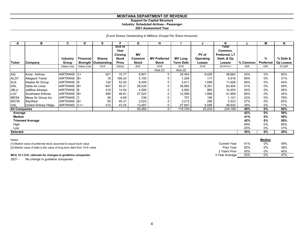# **Support for Capital Structure**

**Industry: Scheduled Airlines - Passenger**

### **2021 Assessment Year**

*(\$ and Shares Outstanding In Millions, Except Per Share Amounts)*

| А                    | в                         | C               | D          | Е                    |                       | G            | н                   |                  | J         | Κ                | L        | M                | N         |
|----------------------|---------------------------|-----------------|------------|----------------------|-----------------------|--------------|---------------------|------------------|-----------|------------------|----------|------------------|-----------|
|                      |                           |                 |            |                      | <b>End of</b><br>Year |              |                     |                  |           | Total<br>Common, |          |                  |           |
|                      |                           |                 |            |                      | Closing               | <b>MV</b>    |                     |                  | PV of     | Preferred, LT    |          |                  |           |
|                      |                           | <b>Industry</b> | Financial  | <b>Shares</b>        | <b>Stock</b>          | Common       | <b>MV Preferred</b> | <b>MV Long</b>   | Operating | Debt, & Op       |          | %                | % Debt &  |
| <b>Ticker</b>        | Company                   | Group           |            | Strength Outstanding | Price                 | <b>Stock</b> | <b>Stock</b>        | <b>Term Debt</b> | Leases    | Leases           | % Common | <b>Preferred</b> | Op Leases |
|                      |                           | Value Line      | Value Line | $10-K$               | Yahoo                 | ExF          | $10-K$              | $10-K$           | $10-K$    | $G+H+I+J$        | G/K      | H/K              | $(l+J)/K$ |
|                      |                           |                 |            |                      |                       |              | Note [1]            | Note [2]         |           |                  |          |                  |           |
| AAL                  | Amer. Airlines            | AIRTRANS C+     |            | 621                  | 15.77                 | 9,801        |                     | 30,454           | 8,428     | 48,683           | 20%      | 0%               | 80%       |
| <b>ALGT</b>          | <b>Allegiant Travel</b>   | <b>AIRTRANS</b> | $ B+$      | 16                   | 189.24                | 3,105        |                     | 1,294            | 117       | 4,516            | 69%      | 0%               | 31%       |
| ALK                  | Alaska Air Group          | <b>AIRTRANS</b> | IB.        | 124                  | 52.00                 | 6,459        |                     | 3,611            | 1,558     | 11,628           | 56%      | 0%               | 44%       |
| DAL                  | Delta Air Lines           | <b>AIRTRANS</b> | $B+$       | 647                  | 40.21                 | 26,030       |                     | 30,983           | 6,391     | 63,404           | 41%      | 0%               | 59%       |
| <b>JBLU</b>          | JetBlue Airways           | <b>AIRTRANS</b> | IB         | 316                  | 14.54                 | 4,595        |                     | 4,993            | 865       | 10,453           | 44%      | 0%               | 56%       |
| LUV                  | <b>Southwest Airlines</b> | <b>AIRTRANS</b> | $B+$       | 590                  | 46.61                 | 27,522       |                     | 12,569           | 1,868     | 41,959           | 66%      | 0%               | 34%       |
| <b>MESA</b>          | Mesa Air Group Inc        | <b>AIRTRANS</b> | IС         | 36                   | 6.69                  | 238          |                     | 757              | 106       | 1,101            | 22%      | 0%               | 78%       |
| <b>SKYW</b>          | <b>SkyWest</b>            | <b>AIRTRANS</b> | $B+$       | 50                   | 40.31                 | 2,023        |                     | 3,212            | 288       | 5,523            | 37%      | 0%               | 63%       |
| <b>UAL</b>           | United Airlines Hldgs.    | <b>AIRTRANS</b> | $C++$      | 312                  | 43.25                 | 13,487       |                     | 27,847           | 5,598     | 46,932           | 29%      | 0%               | 71%       |
| <b>All Companies</b> |                           |                 |            |                      |                       | 93,260       | $\mathbf{0}$        | 115,720          | 25,220    | 234,199          | 40%      | 0%               | 60%       |
| Average              |                           |                 |            |                      |                       |              |                     |                  |           |                  | 42%      | 0%               | 58%       |
| <b>Median</b>        |                           |                 |            |                      |                       |              |                     |                  |           |                  | 41%      | 0%               | 59%       |
|                      | <b>Trimmed Average</b>    |                 |            |                      |                       |              |                     |                  |           |                  | 42%      | 0%               | 58%       |
| High                 |                           |                 |            |                      |                       |              |                     |                  |           |                  | 69%      | $0\%$            | 80%       |
| Low                  |                           |                 |            |                      |                       |              |                     |                  |           |                  | 20%      | 0%               | 31%       |
| <b>Selected</b>      |                           |                 |            |                      |                       |              |                     |                  |           |                  | 55%      | 0%               | 45%       |
| Notes:               |                           |                 |            |                      |                       |              |                     |                  |           |                  |          | <b>Modian</b>    |           |

| <b>INULES.</b>                                                           |                   |     | <u>IVICUIAII</u> |     |
|--------------------------------------------------------------------------|-------------------|-----|------------------|-----|
| [1] Market value of preferred stock assumed to equal book value          | Current Year      | 41% | 0%               | 59% |
| [2] Market value of debt is fair value of long term debt from 10-K notes | <b>Prior Year</b> | 62% | 0%               | 38% |
|                                                                          | 2 Years Prior     | 55% | 0%               | 45% |
| MCA 15-1-210, rationale for changes to guideline companies:              | 3 Year Average    | 53% | 0%               | 47% |

2021 - No change in guideline companies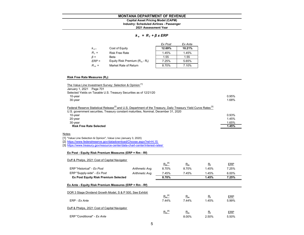# **Industry: Scheduled Airlines - Passenger Capital Asset Pricing Model (CAPM)**

**2021 Assessment Year**

### *k <sup>e</sup>= R <sup>f</sup><sup>+</sup>β x ERP*

|           |                                   | Ex Post | Ex Ante |
|-----------|-----------------------------------|---------|---------|
| $K_{e}$   | Cost of Equity                    | 12.69%  | 10.21%  |
| $R_f =$   | <b>Risk Free Rate</b>             | 1.45%   | 1.45%   |
| $\beta =$ | Beta                              | 1.55    | 1.55    |
| $ERP =$   | Equity Risk Premium $(R_m - R_f)$ | 7.25%   | 5.65%   |
| $R_m =$   | Market Rate of Return             | 8.70%   | 7.10%   |

# **Risk Free Rate Measures (Rf):**

| The Value Line Investment Survey: Selection & Opinion [1]                                                                                                                                                                       |       |
|---------------------------------------------------------------------------------------------------------------------------------------------------------------------------------------------------------------------------------|-------|
| January 1, 2021  Page 701                                                                                                                                                                                                       |       |
| Selected Yields on Taxable U.S. Treasury Securities as of 12/21/20                                                                                                                                                              |       |
| $10$ -year                                                                                                                                                                                                                      | 0.95% |
| $30$ -year                                                                                                                                                                                                                      | 1.68% |
| Federal Reserve Statistical Release <sup>[2]</sup> and U.S. Department of the Treasury, Daily Treasury Yield Curve Rates <sup>[3]</sup><br>U.S. government securities, Treasury constant maturities, Nominal, December 31, 2020 |       |
| 10-year                                                                                                                                                                                                                         | 0.93% |
| 20-year                                                                                                                                                                                                                         | 1.45% |
| 30-year                                                                                                                                                                                                                         | 1.65% |
| <b>Risk Free Rate Selected</b>                                                                                                                                                                                                  | 1.45% |
| Notes                                                                                                                                                                                                                           |       |
| [1] "Value Line Selection & Opinion", Value Line (January 3, 2020)                                                                                                                                                              |       |
| [2] https://www.federalreserve.gov/datadownload/Choose.aspx?rel=H.15                                                                                                                                                            |       |

[3] https://www.treasury.gov/resource-center/data-chart-center/interest-rates/

| Ex Post - Equity Risk Premium Measures (ERP = Rm - Rf)    |                 |             |       |             |       |
|-----------------------------------------------------------|-----------------|-------------|-------|-------------|-------|
| Duff & Phelps, 2021 Cost of Capital Navigator             |                 |             |       |             |       |
|                                                           |                 | $R_m^{[4]}$ | $R_m$ | $R_{\rm f}$ | ERP   |
| ERP "Historical" - Ex Post                                | Arithmetic Avg. | 8.70%       | 8.70% | 1.45%       | 7.25% |
| ERP "Supply-side" - Ex Post                               | Arithmetic Avg. | 7.45%       | 7.45% | 1.45%       | 6.00% |
| <b>Ex Post Equity Risk Premium Selected</b>               |                 | 8.70%       |       | 1.45%       | 7.25% |
| Ex Ante - Equity Risk Premium Measures (ERP = Rm - Rf)    |                 |             |       |             |       |
| DOR 3 Stage Dividend Growth Model, S & P 500, See Exhibit |                 |             |       |             |       |
|                                                           |                 | $R_m^{[4]}$ | $R_m$ | $R_{\rm f}$ | ERP   |
| ERP - Ex Ante                                             |                 | 7.44%       | 7.44% | 1.45%       | 5.99% |
| Duff & Phelps, 2021 Cost of Capital Navigator             |                 | $R_m^{[4]}$ | $R_m$ | $R_f$       | ERP   |
| ERP "Conditional" - Ex Ante                               |                 |             | 8.00% | 2.50%       | 5.50% |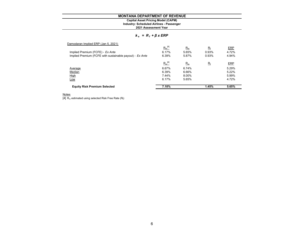### **Industry: Scheduled Airlines - Passenger Capital Asset Pricing Model (CAPM)**

**2021 Assessment Year**

### *k <sup>e</sup>= R <sup>f</sup><sup>+</sup>β x ERP*

| 7.10%       |             | 1.45%       | 5.65%      |
|-------------|-------------|-------------|------------|
| 6.17%       | 5.65%       |             | 4.72%      |
| 7.44%       | 8.00%       |             | 5.99%      |
| 6.39%       | 6.66%       |             | 5.22%      |
| 6.67%       | 6.74%       |             | 5.29%      |
| $R_m^{[4]}$ | $R_m$       | $R_{\rm f}$ | <b>ERP</b> |
| 6.39%       | 5.87%       | 0.93%       | 4.94%      |
| 6.17%       | 5.65%       | 0.93%       | 4.72%      |
|             | $R_m$       | $R_{\rm f}$ | ERP        |
|             | $R_m^{[4]}$ |             |            |

<u>Notes</u><br>[4] R<sub>m</sub> estimated using selected Risk Free Rate (R<sub>f</sub>)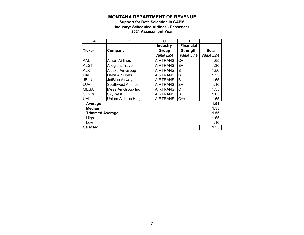# **2021 Assessment Year Industry: Scheduled Airlines - Passenger Support for Beta Selection in CAPM**

| A                      | в                         | C               | D                | Е           |
|------------------------|---------------------------|-----------------|------------------|-------------|
|                        |                           | <b>Industry</b> | <b>Financial</b> |             |
| lTicker                | Company                   | Group           | <b>Strength</b>  | <b>Beta</b> |
|                        |                           | Value Line      | Value Line       | Value Line  |
| <b>AAL</b>             | Amer. Airlines            | <b>AIRTRANS</b> | C+               | 1.65        |
| <b>ALGT</b>            | <b>Allegiant Travel</b>   | <b>AIRTRANS</b> | B+               | 1.30        |
| <b>ALK</b>             | Alaska Air Group          | <b>AIRTRANS</b> | В                | 1.50        |
| <b>DAL</b>             | Delta Air Lines           | <b>AIRTRANS</b> | B+               | 1.55        |
| <b>JBLU</b>            | JetBlue Airways           | <b>AIRTRANS</b> | B                | 1.65        |
| LUV                    | <b>Southwest Airlines</b> | <b>AIRTRANS</b> | B+               | 1.10        |
| <b>MESA</b>            | Mesa Air Group Inc        | <b>AIRTRANS</b> | С                | 1.55        |
| <b>SKYW</b>            | <b>SkyWest</b>            | <b>AIRTRANS</b> | B+               | 1.65        |
| <b>UAL</b>             | United Airlines Hldgs.    | <b>AIRTRANS</b> | $C++$            | 1.65        |
| Average                |                           |                 |                  | 1.51        |
| <b>Median</b>          |                           |                 |                  | 1.55        |
| <b>Trimmed Average</b> |                           |                 |                  | 1.55        |
| High                   |                           |                 |                  | 1.65        |
| Low                    |                           |                 |                  | 1.10        |
| <b>Selected</b>        |                           |                 |                  | 1.55        |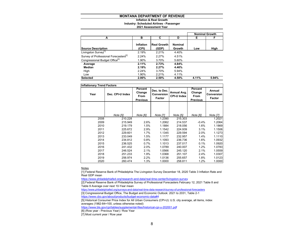### **Inflation & Real Growth Industry: Scheduled Airlines - Passenger 2021 Assessment Year**

|                                                   |                    |                             |                          |       | <b>Nominal Growth</b> |
|---------------------------------------------------|--------------------|-----------------------------|--------------------------|-------|-----------------------|
| А                                                 | в                  | C                           | D                        | Е     | F                     |
| <b>Source Description</b>                         | Inflation<br>(CPI) | <b>Real Growth</b><br>(GDP) | <b>Nominal</b><br>Growth | Low   | High                  |
| Livingston Survey <sup>[1]</sup>                  | 2.19%              | 2.21%                       | 4.40%                    |       |                       |
| Survey of Professional Forecasters <sup>[2]</sup> | 2.24%              | 2.27%                       | 4.51%                    |       |                       |
| Congressional Budget Office <sup>[3]</sup>        | 1.90%              | 3.70%                       | 5.60%                    |       |                       |
| Average                                           | 2.11%              | 2.73%                       | 4.84%                    |       |                       |
| Median                                            | 2.19%              | 2.27%                       | 4.46%                    |       |                       |
| High                                              | 2.24%              | 3.70%                       | 5.94%                    |       |                       |
| Low                                               | 1.90%              | 2.21%                       | 4.11%                    |       |                       |
| <b>Selected</b>                                   | 2.00%              | 2.50%                       | 4.50%                    | 4.11% | 5.94%                 |

| <b>Inflationary Trend Factors</b> |                  |                                              |                                      |                                   |                                              |                                       |
|-----------------------------------|------------------|----------------------------------------------|--------------------------------------|-----------------------------------|----------------------------------------------|---------------------------------------|
| Year                              | Dec. CPI-U Index | Percent<br>Change<br>From<br><b>Previous</b> | Dec. to Dec.<br>Conversion<br>Factor | Annual Avg.<br><b>CPI-U Index</b> | Percent<br>Change<br>From<br><b>Previous</b> | Annual<br><b>Conversion</b><br>Factor |
|                                   |                  |                                              |                                      |                                   |                                              |                                       |
|                                   |                  |                                              |                                      |                                   |                                              |                                       |
|                                   | Note [5]         | Note [6]                                     | <b>Note [7]</b>                      | Note [5]                          | Note [6]                                     | Note [7]                              |
| 2008                              | 210.228          |                                              | 1.2390                               | 215.303                           |                                              | 1.2021                                |
| 2009                              | 215.949          | 2.6%                                         | 1.2062                               | 214.537                           | $-0.4%$                                      | 1.2064                                |
| 2010                              | 219.179          | 1.5%                                         | 1.1884                               | 218.056                           | 1.6%                                         | 1.1869                                |
| 2011                              | 225.672          | 2.9%                                         | 1.1542                               | 224.939                           | 3.1%                                         | 1.1506                                |
| 2012                              | 229.601          | 1.7%                                         | 1.1345                               | 229.594                           | 2.0%                                         | 1.1273                                |
| 2013                              | 233.049          | 1.5%                                         | 1.1177                               | 232.957                           | 1.4%                                         | 1.1110                                |
| 2014                              | 234.812          | 0.8%                                         | 1.1093                               | 236.736                           | 1.6%                                         | 1.0932                                |
| 2015                              | 236.525          | 0.7%                                         | 1.1013                               | 237.017                           | 0.1%                                         | 1.0920                                |
| 2016                              | 241.432          | 2.0%                                         | 1.0789                               | 240.007                           | 1.2%                                         | 1.0783                                |
| 2017                              | 246.524          | 2.1%                                         | 1.0566                               | 245.120                           | 2.1%                                         | 1.0559                                |
| 2018                              | 251.233          | 1.9%                                         | 1.0368                               | 251.107                           | 2.4%                                         | 1.0307                                |
| 2019                              | 256.974          | 2.2%                                         | 1.0136                               | 255.657                           | 1.8%                                         | 1.0123                                |
| 2020                              | 260.474          | 1.3%                                         | 1.0000                               | 258.811                           | 1.2%                                         | 1.0000                                |

Notes

[1] Federal Reserve Bank of Philadelphia The Livingston Survey December 18, 2020 Table 3 Inflation Rate and Real GDP mean

https://www.philadelphiafed.org/research-and-data/real-time-center/livingston-survey

[2] Federal Reserve Bank of Philadelphia Survey of Professional Forecasters February 12, 2021 Table 8 and Table 9 Average over next 10-Year mean

https://www.philadelphiafed.org/surveys-and-data/real-time-data-research/survey-of-professional-forecasters

[3] Congressional Budget Office, The Budget and Economic Outlook: 2021 to 2031, Table 2-1

https://www.cbo.gov/about/products/budget-economic-data#4

[5] Historical Consumer Price Index for All Urban Consumers (CPI-U): U.S. city average, all items, index averages (1982-84=100, unless otherwise noted)

https://www.bls.gov/cpi/tables/supplemental-files/historical-cpi-u-202001.pdf

[6] (Row year - Previous Year) / Row Year

[7] Most current year / Row year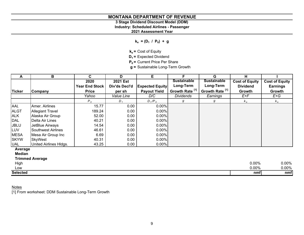# **3 Stage Dividend Discount Model (DDM)**

**Industry: Scheduled Airlines - Passenger**

**2021 Assessment Year**

 $k_e = (D_1 / P_0) + g$ 

**ke =** Cost of Equity

**D<sub>1</sub>** = Expected Dividend

**P<sub>0</sub>** = Current Price Per Share

**g =** Sustainable Long-Term Growth

| A             | в                       | C.                    | D                        | Е                      |                            | G                          | н                     |                       |
|---------------|-------------------------|-----------------------|--------------------------|------------------------|----------------------------|----------------------------|-----------------------|-----------------------|
|               |                         | 2020                  | <b>2021 Est</b>          |                        | <b>Sustainable</b>         | <b>Sustainable</b>         | <b>Cost of Equity</b> | <b>Cost of Equity</b> |
|               |                         | <b>Year End Stock</b> | Div'ds Decl'd            | <b>Expected Equity</b> | Long-Term                  | Long-Term                  | <b>Dividend</b>       | <b>Earnings</b>       |
| <b>Ticker</b> | Company                 | <b>Price</b>          | per sh                   | <b>Payout Yield</b>    | Growth Rate <sup>[1]</sup> | Growth Rate <sup>[1]</sup> | Growth                | Growth                |
|               |                         | Yahoo                 | <i><b>Value Line</b></i> | D/C                    | <b>Dividends</b>           | Earnings                   | E+F                   | $E+G$                 |
|               |                         | $P_o$                 | $D_{1}$                  | $D_1/P_0$              | g                          | g                          | $k_e$                 | $k_e$                 |
| AAL           | Amer. Airlines          | 15.77                 | 0.00                     | 0.00%                  |                            |                            |                       |                       |
| <b>ALGT</b>   | <b>Allegiant Travel</b> | 189.24                | 0.00                     | 0.00%                  |                            |                            |                       |                       |
| <b>ALK</b>    | Alaska Air Group        | 52.00                 | 0.00                     | 0.00%                  |                            |                            |                       |                       |
| <b>DAL</b>    | Delta Air Lines         | 40.21                 | 0.00                     | 0.00%                  |                            |                            |                       |                       |
| <b>JBLU</b>   | JetBlue Airways         | 14.54                 | 0.00                     | 0.00%                  |                            |                            |                       |                       |
| LUV           | Southwest Airlines      | 46.61                 | 0.00                     | 0.00%                  |                            |                            |                       |                       |
| <b>MESA</b>   | Mesa Air Group Inc      | 6.69                  | 0.00                     | 0.00%                  |                            |                            |                       |                       |
| <b>SKYW</b>   | <b>SkyWest</b>          | 40.31                 | 0.00                     | 0.00%                  |                            |                            |                       |                       |
| UAL           | United Airlines HIdgs.  | 43.25                 | 0.00                     | $0.00\%$               |                            |                            |                       |                       |
| Average       |                         |                       |                          |                        |                            |                            |                       |                       |

**Median**

# **Trimmed Average**

| High            | 0.00% | $0.00\%$ |
|-----------------|-------|----------|
| Low             | 0.00% | 0.00%    |
| <b>Selected</b> | nmf   | nmf      |

# Notes

[1] From worksheet: DDM Sustainable Long-Term Growth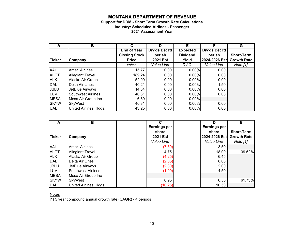# **Support for DDM - Short Term Growth Rate Calculations Industry: Scheduled Airlines - Passenger**

**2021 Assessment Year**

|               | в                         | С                    | D             | Е               |               | G                  |
|---------------|---------------------------|----------------------|---------------|-----------------|---------------|--------------------|
|               |                           | <b>End of Year</b>   | Div'ds Decl'd | <b>Expected</b> | Div'ds Decl'd |                    |
|               |                           | <b>Closing Stock</b> | per sh        | <b>Dividend</b> | per sh        | <b>Short-Term</b>  |
| <b>Ticker</b> | Company                   | <b>Price</b>         | 2021 Est      | Yield           | 2024-2026 Est | <b>Growth Rate</b> |
|               |                           | Yahoo                | Value Line    | D/C             | Value Line    | Note [1]           |
| AAL           | Amer. Airlines            | 15.77                | 0.00          | $0.00\%$        | 0.00          |                    |
| <b>ALGT</b>   | <b>Allegiant Travel</b>   | 189.24               | 0.00          | $0.00\%$        | 0.00          |                    |
| <b>ALK</b>    | Alaska Air Group          | 52.00                | 0.00          | $0.00\%$        | 0.00          |                    |
| <b>DAL</b>    | Delta Air Lines           | 40.21                | 0.00          | 0.00%           | 1.50          |                    |
| <b>JBLU</b>   | JetBlue Airways           | 14.54                | 0.00          | $0.00\%$        | 0.00          |                    |
| LUV           | <b>Southwest Airlines</b> | 46.61                | 0.00          | $0.00\%$        | 0.00          |                    |
| <b>MESA</b>   | Mesa Air Group Inc        | 6.69                 | 0.00          | $0.00\%$        |               |                    |
| <b>SKYW</b>   | <b>SkyWest</b>            | 40.31                | 0.00          | 0.00%           | 0.00          |                    |
| <b>UAL</b>    | United Airlines HIdgs.    | 43.25                | 0.00          | $0.00\%$        | 0.00          |                    |

| А             | в                       | С                   | D             | Е                  |
|---------------|-------------------------|---------------------|---------------|--------------------|
|               |                         | <b>Earnings per</b> | Earnings per  |                    |
|               |                         | share               | share         | <b>Short-Term</b>  |
| <b>Ticker</b> | Company                 | <b>2021 Est</b>     | 2024-2026 Est | <b>Growth Rate</b> |
|               |                         | Value Line          | Value Line    | Note [1]           |
| <b>AAL</b>    | Amer. Airlines          | (7.50)              | 3.50          |                    |
| <b>ALGT</b>   | <b>Allegiant Travel</b> | 4.75                | 18.00         | 39.52%             |
| <b>ALK</b>    | Alaska Air Group        | (4.25)              | 6.45          |                    |
| DAL           | Delta Air Lines         | (2.85)              | 8.00          |                    |
| <b>JBLU</b>   | JetBlue Airways         | (2.30)              | 2.00          |                    |
| LUV           | Southwest Airlines      | (1.00)              | 4.50          |                    |
| <b>MESA</b>   | Mesa Air Group Inc      |                     |               |                    |
| <b>SKYW</b>   | <b>SkyWest</b>          | 0.95                | 6.50          | 61.73%             |
| <b>UAL</b>    | United Airlines HIdgs.  | (10.25)             | 10.50         |                    |

<u>Notes</u>

[1] 5 year compound annual growth rate (CAGR) - 4 periods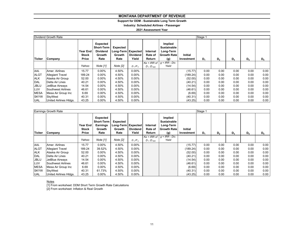# **Support for DDM - Sustainable Long Term Growth**

**Industry: Scheduled Airlines - Passenger**

### **2021 Assessment Year**

|              | Dividend Growth Rate    |                                   |                                                                    |                                                  |                          |                               |                                                                  |                       | Stage 1 |                |       |       |       |
|--------------|-------------------------|-----------------------------------|--------------------------------------------------------------------|--------------------------------------------------|--------------------------|-------------------------------|------------------------------------------------------------------|-----------------------|---------|----------------|-------|-------|-------|
| Ticker       | Company                 | Year End<br><b>Stock</b><br>Price | Expected<br><b>Short-Term</b><br><b>Dividend</b><br>Growth<br>Rate | Expected<br>Long-Term Expected<br>Growth<br>Rate | <b>Dividend</b><br>Yield | Internal<br>Rate of<br>Return | Implied<br><b>Sustainable</b><br>Long-Term<br>Growth Rate<br>(g) | Initial<br>Investment | $D_1$   | D <sub>2</sub> | $D_3$ | $D_4$ | $D_5$ |
|              |                         |                                   |                                                                    |                                                  |                          | $Ke = IRR$ of                 | $g = IRR - Div.$                                                 |                       |         |                |       |       |       |
|              |                         | Yahoo                             | Note [1]                                                           | Note [2]                                         | $D_1/P_0$                | $D_1$ : $D_{500}$             | Yield                                                            |                       |         |                |       |       |       |
| AAL          | Amer. Airlines          | 15.77                             | 0.00%                                                              | 4.50%                                            | $0.00\%$                 |                               |                                                                  | (15.77)               | 0.00    | 0.00           | 0.00  | 0.00  | 0.00  |
| <b>ALGT</b>  | <b>Allegiant Travel</b> | 189.24                            | 0.00%                                                              | 4.50%                                            | $0.00\%$                 |                               |                                                                  | (189.24)              | 0.00    | 0.00           | 0.00  | 0.00  | 0.00  |
| <b>ALK</b>   | Alaska Air Group        | 52.00                             | 0.00%                                                              | 4.50%                                            | $0.00\%$                 |                               |                                                                  | (52.00)               | 0.00    | 0.00           | 0.00  | 0.00  | 0.00  |
| <b>DAL</b>   | Delta Air Lines         | 40.21                             | 0.00%                                                              | 4.50%                                            | $0.00\%$                 |                               |                                                                  | (40.21)               | 0.00    | 0.00           | 0.00  | 0.00  | 0.00  |
| <b>JBLU</b>  | JetBlue Airways         | 14.54                             | $0.00\%$                                                           | 4.50%                                            | $0.00\%$                 |                               |                                                                  | (14.54)               | 0.00    | 0.00           | 0.00  | 0.00  | 0.00  |
| <b>LUV</b>   | Southwest Airlines      | 46.61                             | $0.00\%$                                                           | 4.50%                                            | $0.00\%$                 |                               |                                                                  | (46.61)               | 0.00    | 0.00           | 0.00  | 0.00  | 0.00  |
| <b>MESA</b>  | Mesa Air Group Inc      | 6.69                              | 0.00%                                                              | 4.50%                                            | $0.00\%$                 |                               |                                                                  | (6.69)                | 0.00    | 0.00           | 0.00  | 0.00  | 0.00  |
| <b>ISKYW</b> | SkyWest                 | 40.31                             | 0.00%                                                              | 4.50%                                            | $0.00\%$                 |                               |                                                                  | (40.31)               | 0.00    | 0.00           | 0.00  | 0.00  | 0.00  |
| <b>UAL</b>   | United Airlines HIdgs.  | 43.25                             | 0.00%                                                              | 4.50%                                            | $0.00\%$                 |                               |                                                                  | (43.25)               | 0.00    | 0.00           | 0.00  | 0.00  | 0.00  |

|               | Earnings Growth Rate    |                                   | Stage 1                                                                   |                                                         |                          |                               |                                                                         |                       |       |                |       |       |       |
|---------------|-------------------------|-----------------------------------|---------------------------------------------------------------------------|---------------------------------------------------------|--------------------------|-------------------------------|-------------------------------------------------------------------------|-----------------------|-------|----------------|-------|-------|-------|
| <b>Ticker</b> | Company                 | Year End<br><b>Stock</b><br>Price | <b>Expected</b><br><b>Short-Term</b><br><b>Earnings</b><br>Growth<br>Rate | <b>Expected</b><br>Long-Term Expected<br>Growth<br>Rate | <b>Dividend</b><br>Yield | Internal<br>Rate of<br>Return | Implied<br><b>Sustainable</b><br>Long-Term<br><b>Growth Rate</b><br>(g) | Initial<br>Investment | $D_1$ | D <sub>2</sub> | $D_3$ | $D_4$ | $D_5$ |
|               |                         |                                   |                                                                           |                                                         |                          | $Ke = IRR$ of                 | $g = IRR - Div.$                                                        |                       |       |                |       |       |       |
|               |                         | Yahoo                             | Note [1]                                                                  | Note [2]                                                | $D_1/P_0$                | $D_1$ : $D_{500}$             | Yield                                                                   |                       |       |                |       |       |       |
| AAL           | Amer. Airlines          | 15.77                             | $0.00\%$                                                                  | 4.50%                                                   | $0.00\%$                 |                               |                                                                         | (15.77)               | 0.00  | 0.00           | 0.00  | 0.00  | 0.00  |
| <b>ALGT</b>   | <b>Allegiant Travel</b> | 189.24                            | 39.52%                                                                    | 4.50%                                                   | $0.00\%$                 |                               |                                                                         | (189.24)              | 0.00  | 0.00           | 0.00  | 0.00  | 0.00  |
| <b>ALK</b>    | Alaska Air Group        | 52.00                             | $0.00\%$                                                                  | 4.50%                                                   | $0.00\%$                 |                               |                                                                         | (52.00)               | 0.00  | 0.00           | 0.00  | 0.00  | 0.00  |
| DAL           | Delta Air Lines         | 40.21                             | $0.00\%$                                                                  | 4.50%                                                   | $0.00\%$                 |                               |                                                                         | (40.21)               | 0.00  | 0.00           | 0.00  | 0.00  | 0.00  |
| <b>JBLU</b>   | JetBlue Airways         | 14.54                             | $0.00\%$                                                                  | 4.50%                                                   | $0.00\%$                 |                               |                                                                         | (14.54)               | 0.00  | 0.00           | 0.00  | 0.00  | 0.00  |
| LUV           | Southwest Airlines      | 46.61                             | $0.00\%$                                                                  | 4.50%                                                   | $0.00\%$                 |                               |                                                                         | (46.61)               | 0.00  | 0.00           | 0.00  | 0.00  | 0.00  |
| <b>MESA</b>   | Mesa Air Group Inc      | 6.69                              | $0.00\%$                                                                  | 4.50%                                                   | $0.00\%$                 |                               |                                                                         | (6.69)                | 0.00  | 0.00           | 0.00  | 0.00  | 0.00  |
| <b>SKYW</b>   | SkyWest                 | 40.31                             | 61.73%                                                                    | 4.50%                                                   | $0.00\%$                 |                               |                                                                         | (40.31)               | 0.00  | 0.00           | 0.00  | 0.00  | 0.00  |
| <b>UAL</b>    | United Airlines HIdgs.  | 43.25                             | $0.00\%$                                                                  | 4.50%                                                   | $0.00\%$                 |                               |                                                                         | (43.25)               | 0.00  | 0.00           | 0.00  | 0.00  | 0.00  |

<u>Notes</u><br>[1] From worksheet: DDM Short Term Growth Rate Calculations [2] From worksheet: Inflation & Real Growth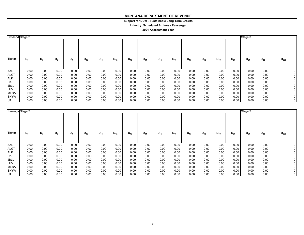# **Support for DDM - Sustainable Long Term Growth**

**Industry: Scheduled Airlines - Passenger**

| Dividend Stage 2 |       |                |       |                |          |          |          |          |          |          |          |          |          |          |          | Stage 3  |          |           |
|------------------|-------|----------------|-------|----------------|----------|----------|----------|----------|----------|----------|----------|----------|----------|----------|----------|----------|----------|-----------|
| Ticker           | $D_6$ | D <sub>7</sub> | $D_8$ | D <sub>9</sub> | $D_{10}$ | $D_{11}$ | $D_{12}$ | $D_{13}$ | $D_{14}$ | $D_{15}$ | $D_{16}$ | $D_{17}$ | $D_{18}$ | $D_{19}$ | $D_{20}$ | $D_{21}$ | $D_{22}$ | $D_{500}$ |
|                  |       |                |       |                |          |          |          |          |          |          |          |          |          |          |          |          |          |           |
| <b>AAL</b>       | 0.00  | 0.00           | 0.00  | 0.00           | 0.00     | 0.00     | 0.00     | 0.00     | 0.00     | 0.00     | 0.00     | 0.00     | 0.00     | 0.00     | 0.00     | 0.00     | 0.00     | 0         |
| <b>ALGT</b>      | 0.00  | 0.00           | 0.00  | 0.00           | 0.00     | 0.00     | 0.00     | 0.00     | 0.00     | 0.00     | 0.00     | 0.00     | 0.00     | 0.00     | 0.00     | 0.00     | 0.00     |           |
| <b>ALK</b>       | 0.00  | 0.00           | 0.00  | 0.00           | 0.00     | 0.00     | 0.00     | 0.00     | 0.00     | 0.00     | 0.00     | 0.00     | 0.00     | 0.00     | 0.00     | 0.00     | 0.00     |           |
| <b>DAL</b>       | 0.00  | 0.00           | 0.00  | 0.00           | 0.00     | 0.00     | 0.00     | 0.00     | 0.00     | 0.00     | 0.00     | 0.00     | 0.00     | 0.00     | 0.00     | 0.00     | 0.00     |           |
| <b>JBLU</b>      | 0.00  | 0.00           | 0.00  | 0.00           | 0.00     | 0.00     | 0.00     | 0.00     | 0.00     | 0.00     | 0.00     | 0.00     | 0.00     | 0.00     | 0.00     | 0.00     | 0.00     |           |
| LUV              | 0.00  | 0.00           | 0.00  | 0.00           | 0.00     | 0.00     | 0.00     | 0.00     | 0.00     | 0.00     | 0.00     | 0.00     | 0.00     | 0.00     | 0.00     | 0.00     | 0.00     |           |
| <b>MESA</b>      | 0.00  | 0.00           | 0.00  | 0.00           | 0.00     | 0.00     | 0.00     | 0.00     | 0.00     | 0.00     | 0.00     | 0.00     | 0.00     | 0.00     | 0.00     | 0.00     | 0.00     |           |
| <b>SKYW</b>      | 0.00  | 0.00           | 0.00  | 0.00           | 0.00     | 0.00     | 0.00     | 0.00     | 0.00     | 0.00     | 0.00     | 0.00     | 0.00     | 0.00     | 0.00     | 0.00     | 0.00     | 0         |
| <b>UAL</b>       | 0.00  | 0.00           | 0.00  | 0.00           | 0.00     | 0.00     | 0.00     | 0.00     | 0.00     | 0.00     | 0.00     | 0.00     | 0.00     | 0.00     | 0.00     | 0.00     | 0.00     | 0         |

|             | Earnings Stage 2 |                |                |       |          |          |          |          |          |          |          |          |          | Stage 3  |          |          |          |           |
|-------------|------------------|----------------|----------------|-------|----------|----------|----------|----------|----------|----------|----------|----------|----------|----------|----------|----------|----------|-----------|
| Ticker      | D <sub>6</sub>   | D <sub>7</sub> | $\mathsf{D}_8$ | $D_9$ | $D_{10}$ | $D_{11}$ | $D_{12}$ | $D_{13}$ | $D_{14}$ | $D_{15}$ | $D_{16}$ | $D_{17}$ | $D_{18}$ | $D_{19}$ | $D_{20}$ | $D_{21}$ | $D_{22}$ | $D_{500}$ |
|             |                  |                |                |       |          |          |          |          |          |          |          |          |          |          |          |          |          |           |
| AAL         | 0.00             | 0.00           | 0.00           | 0.00  | 0.00     | 0.00     | 0.00     | 0.00     | 0.00     | 0.00     | 0.00     | 0.00     | 0.00     | 0.00     | 0.00     | 0.00     | 0.00     |           |
| <b>ALGT</b> | 0.00             | 0.00           | 0.00           | 0.00  | 0.00     | 0.00     | 0.00     | 0.00     | 0.00     | 0.00     | 0.00     | 0.00     | 0.00     | 0.00     | 0.00     | 0.00     | 0.00     |           |
| <b>ALK</b>  | 0.00             | 0.00           | 0.00           | 0.00  | 0.00     | 0.00     | 0.00     | 0.00     | 0.00     | 0.00     | 0.00     | 0.00     | 0.00     | 0.00     | 0.00     | 0.00     | 0.00     | 0 I       |
| DAL         | 0.00             | 0.00           | 0.00           | 0.00  | 0.00     | 0.00     | 0.00     | 0.00     | 0.00     | 0.00     | 0.00     | 0.00     | 0.00     | 0.00     | 0.00     | 0.00     | 0.00     | 0 I       |
| <b>JBLU</b> | 0.00             | 0.00           | 0.00           | 0.00  | 0.00     | 0.00     | 0.00     | 0.00     | 0.00     | 0.00     | 0.00     | 0.00     | 0.00     | 0.00     | 0.00     | 0.00     | 0.00     |           |
| LUV         | 0.00             | 0.00           | 0.00           | 0.00  | 0.00     | 0.00     | 0.00     | 0.00     | 0.00     | 0.00     | 0.00     | 0.00     | 0.00     | 0.00     | 0.00     | 0.00     | 0.00     | 0 I       |
| <b>MESA</b> | 0.00             | 0.00           | 0.00           | 0.00  | 0.00     | 0.00     | 0.00     | 0.00     | 0.00     | 0.00     | 0.00     | 0.00     | 0.00     | 0.00     | 0.00     | 0.00     | 0.00     | 0 I       |
| <b>SKYW</b> | 0.00             | 0.00           | 0.00           | 0.00  | 0.00     | 0.00     | 0.00     | 0.00     | 0.00     | 0.00     | 0.00     | 0.00     | 0.00     | 0.00     | 0.00     | 0.00     | 0.00     | 0 I       |
| <b>UAL</b>  | 0.00             | 0.00           | 0.00           | 0.00  | 0.00     | 0.00     | 0.00     | 0.00     | 0.00     | 0.00     | 0.00     | 0.00     | 0.00     | 0.00     | 0.00     | 0.00     | 0.00     | 0         |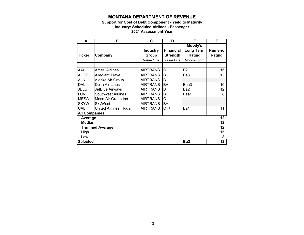# **Support for Cost of Debt Component - Yield to Maturity**

**Industry: Scheduled Airlines - Passenger**

| A                    | в                         | C.              | D                | Е                | F               |
|----------------------|---------------------------|-----------------|------------------|------------------|-----------------|
|                      |                           |                 |                  | Moody's          |                 |
|                      |                           | <b>Industry</b> | <b>Financial</b> | <b>Long Term</b> | <b>Numeric</b>  |
| Ticker               | Company                   | Group           | <b>Strength</b>  | Rating           | Rating          |
|                      |                           | Value Line      | Value Line       | Moodys.com       |                 |
|                      |                           |                 |                  |                  |                 |
| AAL                  | Amer. Airlines            | <b>AIRTRANS</b> | $C+$             | <b>B2</b>        | 15              |
| <b>ALGT</b>          | <b>Allegiant Travel</b>   | <b>AIRTRANS</b> | B+               | Ba3              | 13              |
| <b>ALK</b>           | Alaska Air Group          | <b>AIRTRANS</b> | B                |                  |                 |
| <b>DAL</b>           | Delta Air Lines           | <b>AIRTRANS</b> | $B+$             | Baa3             | 10              |
| <b>JBLU</b>          | JetBlue Airways           | <b>AIRTRANS</b> | B                | Ba2              | 12              |
| <b>LUV</b>           | <b>Southwest Airlines</b> | <b>AIRTRANS</b> | B+               | Baa1             | 8               |
| <b>MESA</b>          | Mesa Air Group Inc        | <b>AIRTRANS</b> | C                |                  |                 |
| <b>SKYW</b>          | <b>SkyWest</b>            | <b>AIRTRANS</b> | B+               |                  |                 |
| <b>UAL</b>           | United Airlines Hldgs.    | <b>AIRTRANS</b> | $C++$            | Ba1              | 11              |
| <b>All Companies</b> |                           |                 |                  |                  |                 |
| Average              |                           |                 |                  |                  | $\overline{12}$ |
| <b>Median</b>        |                           |                 |                  |                  | 12              |
|                      | <b>Trimmed Average</b>    |                 |                  |                  | 12              |
| High                 |                           |                 |                  |                  | 15              |
| Low                  |                           |                 |                  |                  | 8               |
| <b>Selected</b>      |                           |                 |                  | Ba <sub>2</sub>  | 12              |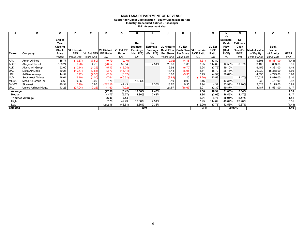### **Support for Direct Capitalization - Equity Capitalization Rate**

**Industry: Scheduled Airlines - Passenger**

|                        | в                       | C              | D                  | Е                 |                               | G       | н               |                 |                         | κ          |                                        | М             |                        | O                     | P                       | Q           | R           |
|------------------------|-------------------------|----------------|--------------------|-------------------|-------------------------------|---------|-----------------|-----------------|-------------------------|------------|----------------------------------------|---------------|------------------------|-----------------------|-------------------------|-------------|-------------|
|                        |                         | End of<br>Year |                    |                   |                               |         | Ke              | Ke              |                         |            |                                        |               | Ke<br>Estimate<br>Cash | Ke<br><b>Estimate</b> |                         |             |             |
|                        |                         | Closing        |                    |                   |                               |         | <b>Estimate</b> |                 | Estimate - IVL Historic | VL Est     |                                        | <b>VL Est</b> | <b>Flow</b>            | Cash                  |                         | <b>Book</b> |             |
|                        |                         | <b>Stock</b>   | <b>VL Historic</b> |                   | <b>VL Historic VL Est P/E</b> |         | <b>Earnings</b> | <b>Earnings</b> |                         |            | <b>Cash Flow Cash Flow VL Historic</b> | P/CF          | (Hist.                 |                       | Flow (Est. Market Value | Value       |             |
| <b>Ticker</b>          | Company                 | Price          | <b>EPS</b>         | <b>VL Est EPS</b> | <b>P/E Ratio</b>              | Ratio   | (Hist. P/E)     | (Est. P/E)      |                         |            | Per Share   Per Share   P/CF Ratio     | Ratio         | P(CF)                  | P/CF)                 | of Equity               | of Equity   | <b>MTBR</b> |
|                        |                         | Yahoo          | Value Line         | Value Line        | C/D                           | C/E     | 1/F             | 1/G             | Value Line              | Value Line | C/J                                    | C/K           | 1/L                    | 1/M                   | Price x Shrs            | Value Line  | P/Q         |
| AAL                    | Amer. Airlines          | 15.77          | (19.87)            | (7.50)            | (0.79)                        | (2.10)  |                 |                 | (12.02)                 | (4.15)     | (1.31)                                 | (3.80)        |                        |                       | 9,801                   | (6,867.00)  | (1.43)      |
| <b>ALGT</b>            | <b>Allegiant Travel</b> | 189.24         | (9.20)             | 4.75              | (20.57)                       | 39.84   |                 | 2.51%           | 23.80                   | 1.65       | 7.95                                   | 114.69        | 12.58%                 | 0.87%                 | 3,105                   | 883.60      | 3.51        |
| <b>ALK</b>             | Alaska Air Group        | 52.00          | (10.14)            | (4.25)            | (5.13)                        | (12.24) |                 |                 | 9.93                    | (6.70)     | 5.24                                   | (7.76)        | 19.10%                 |                       | 6,459                   | 4,331.00    | 1.49        |
| <b>DAL</b>             | Delta Air Lines         | 40.21          | (10.77)            | (2.85)            | (3.73)                        | (14.11) |                 |                 | 11.44                   | (6.95)     | 3.51                                   | (5.79)        | 28.45%                 |                       | 26,030                  | 15,358.00   | 1.69        |
| <b>JBLU</b>            | JetBlue Airways         | 14.54          | (5.72)             | (2.30)            | (2.54)                        | (6.32)  |                 |                 | 3.88                    | (3.35)     | 3.75                                   | (4.34)        | 26.69%                 |                       | 4,595                   | 4,799.00    | 0.96        |
| LUV                    | Southwest Airlines      | 46.61          | (6.10)             | (1.00)            | (7.64)                        | (46.61) |                 |                 | (3.82)                  | 1.15       | (12.20)                                | 40.53         |                        | 2.47%                 | 27,522                  | 8,876.00    | 3.10        |
| <b>MESA</b>            | Mesa Air Group Inc      | 6.69           | 0.86               | 0.00              | 7.78                          |         | 12.86%          |                 | 3.10                    | 0.00       | 2.16                                   |               | 46.34%                 |                       | 238                     | 457.90      | 0.52        |
| <b>SKYW</b>            | SkyWest                 | 40.31          | (0.19)             | 0.95              | (212.16)                      | 42.43   |                 | 2.36%           | 13.70                   | 9.35       | 2.94                                   | 4.31          | 33.99%                 | 23.20%                | 2,023                   | 2,175.00    | 0.93        |
| <b>UAL</b>             | United Airlines HIdgs.  | 43.25          | (27.04)            | (10.25)           | (1.60)                        | (4.22)  |                 |                 | 21.57                   | (18.63)    | 2.01                                   | (2.32)        | 49.87%                 |                       | 13,487                  | 11,531.00   | 1.17        |
| Average                |                         |                | (27.38)            | (0.42)            | 12.86%                        | 2.43%   |                 |                 | 1.56                    | 16.94      | 31.00%                                 | 8.84%         |                        |                       | 1.33                    |             |             |
| Median                 |                         |                | (3.73)             | (5.27)            | 12.86%                        | 2.43%   |                 |                 | 2.94                    | (3.06)     | 28.45%                                 | 2.47%         |                        |                       | 1.17                    |             |             |
| <b>Trimmed Average</b> |                         |                | (6.00)             | 0.14              |                               |         |                 |                 | 2.61                    | 4.77       | 30.91%                                 | 2.47%         |                        |                       | 1.41                    |             |             |
| High                   |                         |                |                    |                   | 7.78                          | 42.43   | 12.86%          | 2.51%           |                         |            | 7.95                                   | 114.69        | 49.87%                 | 23.20%                |                         |             | 3.51        |
| Low                    |                         |                |                    | (212.16)          | (46.61)                       | 12.86%  | 2.36%           |                 |                         | (12.20)    | (7.76)                                 | 12.58%        | 0.87%                  |                       |                         | (1.43)      |             |
| <b>Selected</b>        |                         |                |                    |                   |                               | nmf     |                 |                 | 3.45                    |            |                                        | 29.00%        |                        |                       | 1.40                    |             |             |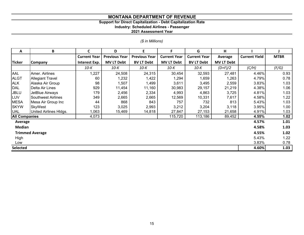# **Support for Direct Capitalization - Debt Capitalization Rate**

**Industry: Scheduled Airlines - Passenger**

|  |  | (\$ in Millions) |
|--|--|------------------|
|  |  |                  |

| A                      | B                         | $\mathsf{C}$        | D                    | E                    | F                   | G                   | H                 |                      |             |
|------------------------|---------------------------|---------------------|----------------------|----------------------|---------------------|---------------------|-------------------|----------------------|-------------|
|                        |                           | <b>Current Year</b> | <b>Previous Year</b> | <b>Previous Year</b> | <b>Current Year</b> | <b>Current Year</b> | Average           | <b>Current Yield</b> | <b>MTBR</b> |
| <b>Ticker</b>          | <b>Company</b>            | Interest Exp.       | <b>MV LT Debt</b>    | <b>BV LT Debt</b>    | <b>MV LT Debt</b>   | <b>BV LT Debt</b>   | <b>MV LT Debt</b> |                      |             |
|                        |                           | 10-K                | 10-K                 | 10-K                 | 10-К                | $10-K$              | $(D+F)/2$         | (C/H)                | (F/G)       |
| AAL                    | Amer. Airlines            | 1,227               | 24,508               | 24,315               | 30,454              | 32,593              | 27,481            | 4.46%                | 0.93        |
| <b>ALGT</b>            | <b>Allegiant Travel</b>   | 60                  | 1,232                | 1,422                | 1,294               | 1,659               | 1,263             | 4.79%                | 0.78        |
| <b>ALK</b>             | Alaska Air Group          | 98                  | 1,507                | 1,499                | 3,611               | 3,495               | 2,559             | 3.83%                | 1.03        |
| <b>DAL</b>             | Delta Air Lines           | 929                 | 11,454               | 11,160               | 30,983              | 29,157              | 21,219            | 4.38%                | 1.06        |
| <b>JBLU</b>            | JetBlue Airways           | 179                 | 2,456                | 2,334                | 4,993               | 4,863               | 3,725             | 4.81%                | 1.03        |
| <b>LUV</b>             | <b>Southwest Airlines</b> | 349                 | 2,665                | 2,665                | 12,569              | 10,331              | 7,617             | 4.58%                | 1.22        |
| <b>MESA</b>            | Mesa Air Group Inc        | 44                  | 868                  | 843                  | 757                 | 732                 | 813               | 5.43%                | 1.03        |
| <b>SKYW</b>            | <b>SkyWest</b>            | 123                 | 3,025                | 2,993                | 3,212               | 3,204               | 3,118             | 3.95%                | 1.00        |
| <b>UAL</b>             | United Airlines Hldgs.    | 1,063               | 15,469               | 14,818               | 27,847              | 27,153              | 21,658            | 4.91%                | 1.03        |
| <b>All Companies</b>   |                           | 4,073               |                      |                      | 115,720             | 113,186             | 89,452            | 4.55%                | 1.02        |
| Average                |                           |                     |                      |                      |                     |                     |                   | 4.57%                | 1.01        |
| <b>Median</b>          |                           |                     |                      |                      |                     |                     |                   | 4.58%                | 1.03        |
| <b>Trimmed Average</b> |                           |                     |                      |                      |                     |                     |                   |                      | 1.02        |
| High                   |                           |                     |                      |                      |                     |                     |                   | 5.43%                | 1.22        |
| Low                    |                           | 3.83%               | 0.78                 |                      |                     |                     |                   |                      |             |
| <b>Selected</b>        |                           |                     |                      |                      |                     |                     |                   | 4.60%                | 1.03        |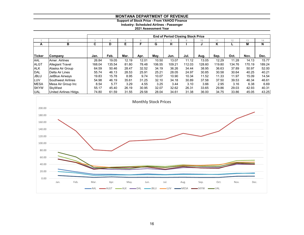# **Support of Stock Price - From YAHOO Finance Industry: Scheduled Airlines - Passenger 2021 Assessment Year**

|             |                         | <b>End of Period Closing Stock Price</b> |        |       |       |        |        |        |        |        |        |        |        |  |
|-------------|-------------------------|------------------------------------------|--------|-------|-------|--------|--------|--------|--------|--------|--------|--------|--------|--|
|             | o                       | 3                                        |        | h     |       |        | 8      | 9      | 10     | 11     | 12     | 13     | 14     |  |
| A           | в                       | C                                        | D      | Е     |       | G      | н      |        | J      | K      |        | М      | N      |  |
|             |                         |                                          |        |       |       |        |        |        |        |        |        |        |        |  |
| Ticker      | Company                 | Jan.                                     | Feb.   | Mar.  | Apr.  | May.   | Jun.   | Jul.   | Aug.   | Sep.   | Oct.   | Nov.   | Dec.   |  |
| AAL         | Amer. Airlines          | 26.84                                    | 19.05  | 12.19 | 12.01 | 10.50  | 13.07  | 11.12  | 13.05  | 12.29  | 11.28  | 14.13  | 15.77  |  |
| <b>ALGT</b> | <b>Allegiant Travel</b> | 168.04                                   | 135.54 | 81.80 | 78.48 | 106.55 | 109.21 | 112.03 | 128.60 | 119.80 | 134.76 | 170.19 | 189.24 |  |
| <b>ALK</b>  | Alaska Air Group        | 64.59                                    | 50.46  | 28.47 | 32.52 | 34.19  | 36.26  | 34.44  | 38.95  | 36.63  | 37.89  | 50.97  | 52.00  |  |
| DAL         | Delta Air Lines         | 55.74                                    | 46.13  | 28.53 | 25.91 | 25.21  | 28.05  | 24.97  | 30.85  | 30.58  | 30.64  | 40.25  | 40.21  |  |
| <b>JBLU</b> | JetBlue Airways         | 19.83                                    | 15.78  | 8.95  | 9.74  | 10.07  | 10.90  | 10.34  | 11.52  | 11.33  | 11.97  | 15.09  | 14.54  |  |
| LUV         | Southwest Airlines      | 54.98                                    | 46.19  | 35.61 | 31.25 | 32.10  | 34.18  | 30.89  | 37.58  | 37.50  | 39.53  | 46.34  | 46.61  |  |
| <b>MESA</b> | Mesa Air Group Inc      | 8.54                                     | 5.77   | 3.29  | 4.55  | 3.25   | 3.44   | 3.10   | 3.66   | 2.95   | 3.16   | 6.38   | 6.69   |  |
| <b>SKYW</b> | SkvWest                 | 55.17                                    | 45.40  | 26.19 | 30.95 | 32.07  | 32.62  | 26.31  | 33.65  | 29.86  | 29.03  | 42.93  | 40.31  |  |
| <b>UAL</b>  | United Airlines HIdas.  | 74.80                                    | 61.59  | 31.55 | 29.58 | 28.04  | 34.61  | 31.38  | 36.00  | 34.75  | 33.86  | 45.05  | 43.25  |  |